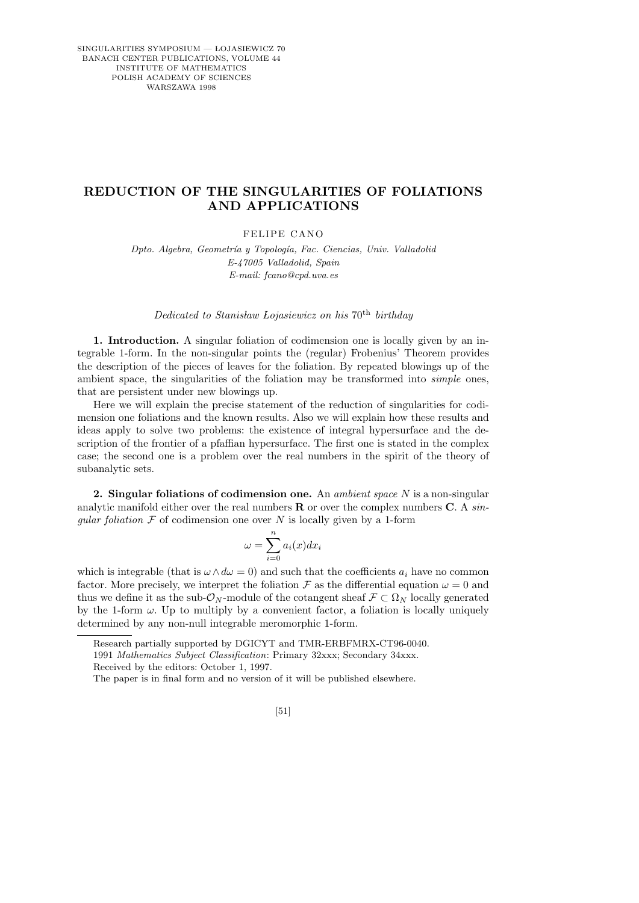## **REDUCTION OF THE SINGULARITIES OF FOLIATIONS AND APPLICATIONS**

FELIPE CANO

*Dpto. Algebra, Geometr´ıa y Topolog´ıa, Fac. Ciencias, Univ. Valladolid E-47005 Valladolid, Spain E-mail: fcano@cpd.uva.es*

Dedicated to Stanisław Lojasiewicz on his  $70<sup>th</sup>$  birthday

1. Introduction. A singular foliation of codimension one is locally given by an integrable 1-form. In the non-singular points the (regular) Frobenius' Theorem provides the description of the pieces of leaves for the foliation. By repeated blowings up of the ambient space, the singularities of the foliation may be transformed into simple ones, that are persistent under new blowings up.

Here we will explain the precise statement of the reduction of singularities for codimension one foliations and the known results. Also we will explain how these results and ideas apply to solve two problems: the existence of integral hypersurface and the description of the frontier of a pfaffian hypersurface. The first one is stated in the complex case; the second one is a problem over the real numbers in the spirit of the theory of subanalytic sets.

2. Singular foliations of codimension one. An *ambient space*  $N$  is a non-singular analytic manifold either over the real numbers  **or over the complex numbers**  $**C**$ **. A sin**gular foliation  $\mathcal F$  of codimension one over N is locally given by a 1-form

$$
\omega = \sum_{i=0}^{n} a_i(x) dx_i
$$

which is integrable (that is  $\omega \wedge d\omega = 0$ ) and such that the coefficients  $a_i$  have no common factor. More precisely, we interpret the foliation  $\mathcal F$  as the differential equation  $\omega = 0$  and thus we define it as the sub- $\mathcal{O}_N$ -module of the cotangent sheaf  $\mathcal{F} \subset \Omega_N$  locally generated by the 1-form  $\omega$ . Up to multiply by a convenient factor, a foliation is locally uniquely determined by any non-null integrable meromorphic 1-form.

Research partially supported by DGICYT and TMR-ERBFMRX-CT96-0040.

1991 *Mathematics Subject Classification*: Primary 32xxx; Secondary 34xxx.

Received by the editors: October 1, 1997.

[51]

The paper is in final form and no version of it will be published elsewhere.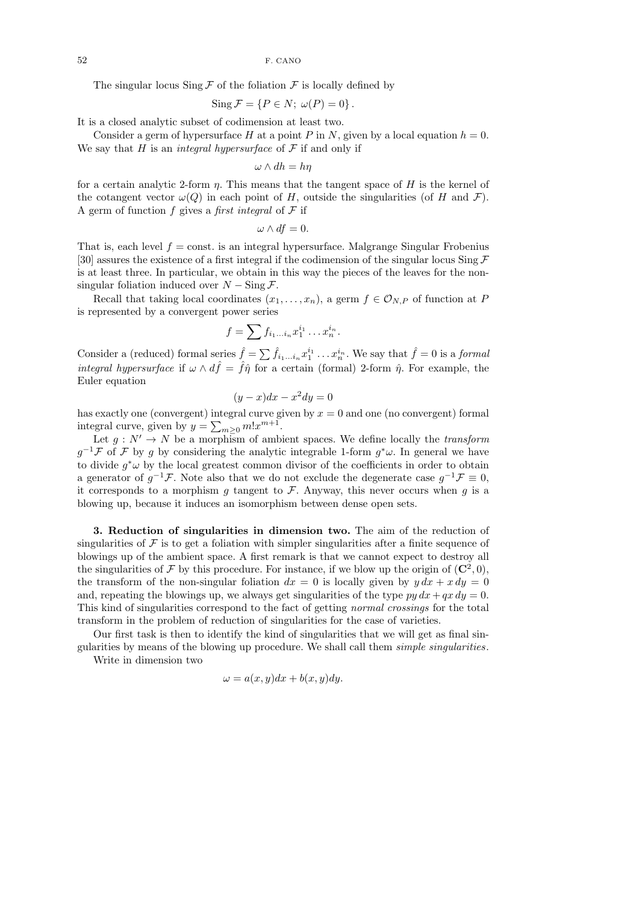The singular locus  $\text{Sing } \mathcal{F}$  of the foliation  $\mathcal{F}$  is locally defined by

$$
\operatorname{Sing} \mathcal{F} = \{ P \in N; \ \omega(P) = 0 \}.
$$

It is a closed analytic subset of codimension at least two.

Consider a germ of hypersurface H at a point P in N, given by a local equation  $h = 0$ . We say that H is an *integral hypersurface* of  $\mathcal F$  if and only if

$$
\omega \wedge dh = h\eta
$$

for a certain analytic 2-form  $\eta$ . This means that the tangent space of H is the kernel of the cotangent vector  $\omega(Q)$  in each point of H, outside the singularities (of H and F). A germ of function f gives a first integral of  $\mathcal F$  if

$$
\omega \wedge df = 0.
$$

That is, each level  $f = \text{const.}$  is an integral hypersurface. Malgrange Singular Frobenius [30] assures the existence of a first integral if the codimension of the singular locus Sing  $\mathcal F$ is at least three. In particular, we obtain in this way the pieces of the leaves for the nonsingular foliation induced over  $N - \text{Sing }\mathcal{F}$ .

Recall that taking local coordinates  $(x_1, \ldots, x_n)$ , a germ  $f \in \mathcal{O}_{N,P}$  of function at P is represented by a convergent power series

$$
f=\sum f_{i_1\ldots i_n}x_1^{i_1}\ldots x_n^{i_n}.
$$

Consider a (reduced) formal series  $\hat{f} = \sum \hat{f}_{i_1...i_n} x_1^{i_1} \dots x_n^{i_n}$ . We say that  $\hat{f} = 0$  is a formal *integral hypersurface* if  $\omega \wedge d\hat{f} = \hat{f}\hat{\eta}$  for a certain (formal) 2-form  $\hat{\eta}$ . For example, the Euler equation

$$
(y - x)dx - x^2 dy = 0
$$

has exactly one (convergent) integral curve given by  $x = 0$  and one (no convergent) formal integral curve, given by  $y = \sum_{m \geq 0} m! x^{m+1}$ .

Let  $g: N' \to N$  be a morphism of ambient spaces. We define locally the transform  $g^{-1}\mathcal{F}$  of  $\mathcal{F}$  by g by considering the analytic integrable 1-form  $g^*\omega$ . In general we have to divide  $g^*\omega$  by the local greatest common divisor of the coefficients in order to obtain a generator of  $g^{-1}\mathcal{F}$ . Note also that we do not exclude the degenerate case  $g^{-1}\mathcal{F} \equiv 0$ , it corresponds to a morphism q tangent to  $\mathcal F$ . Anyway, this never occurs when q is a blowing up, because it induces an isomorphism between dense open sets.

3. Reduction of singularities in dimension two. The aim of the reduction of singularities of  $\mathcal F$  is to get a foliation with simpler singularities after a finite sequence of blowings up of the ambient space. A first remark is that we cannot expect to destroy all the singularities of F by this procedure. For instance, if we blow up the origin of  $(\mathbb{C}^2,0)$ , the transform of the non-singular foliation  $dx = 0$  is locally given by  $y dx + x dy = 0$ and, repeating the blowings up, we always get singularities of the type  $py dx + qx dy = 0$ . This kind of singularities correspond to the fact of getting normal crossings for the total transform in the problem of reduction of singularities for the case of varieties.

Our first task is then to identify the kind of singularities that we will get as final singularities by means of the blowing up procedure. We shall call them simple singularities.

Write in dimension two

$$
\omega = a(x, y)dx + b(x, y)dy.
$$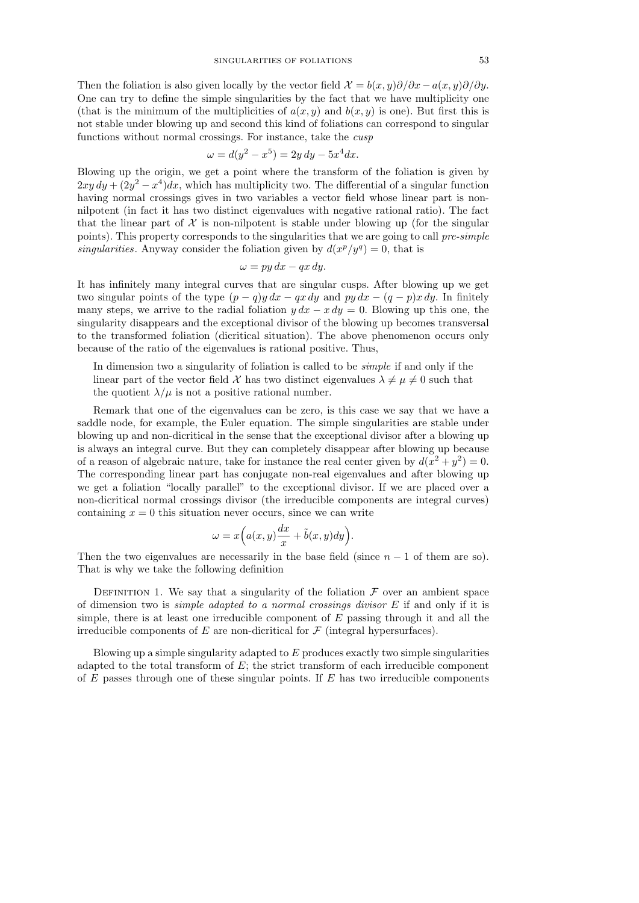Then the foliation is also given locally by the vector field  $\mathcal{X} = b(x, y)\partial/\partial x - a(x, y)\partial/\partial y$ . One can try to define the simple singularities by the fact that we have multiplicity one (that is the minimum of the multiplicities of  $a(x, y)$  and  $b(x, y)$  is one). But first this is not stable under blowing up and second this kind of foliations can correspond to singular functions without normal crossings. For instance, take the cusp

$$
\omega = d(y^2 - x^5) = 2y \, dy - 5x^4 dx.
$$

Blowing up the origin, we get a point where the transform of the foliation is given by  $2xy\,dy + (2y^2 - x^4)dx$ , which has multiplicity two. The differential of a singular function having normal crossings gives in two variables a vector field whose linear part is nonnilpotent (in fact it has two distinct eigenvalues with negative rational ratio). The fact that the linear part of  $X$  is non-nilpotent is stable under blowing up (for the singular points). This property corresponds to the singularities that we are going to call pre-simple singularities. Anyway consider the foliation given by  $d(x^p/y^q) = 0$ , that is

$$
\omega = py\,dx - qx\,dy.
$$

It has infinitely many integral curves that are singular cusps. After blowing up we get two singular points of the type  $(p - q)y dx - qx dy$  and py  $dx - (q - p)x dy$ . In finitely many steps, we arrive to the radial foliation  $y dx - x dy = 0$ . Blowing up this one, the singularity disappears and the exceptional divisor of the blowing up becomes transversal to the transformed foliation (dicritical situation). The above phenomenon occurs only because of the ratio of the eigenvalues is rational positive. Thus,

In dimension two a singularity of foliation is called to be *simple* if and only if the linear part of the vector field X has two distinct eigenvalues  $\lambda \neq \mu \neq 0$  such that the quotient  $\lambda/\mu$  is not a positive rational number.

Remark that one of the eigenvalues can be zero, is this case we say that we have a saddle node, for example, the Euler equation. The simple singularities are stable under blowing up and non-dicritical in the sense that the exceptional divisor after a blowing up is always an integral curve. But they can completely disappear after blowing up because of a reason of algebraic nature, take for instance the real center given by  $d(x^2 + y^2) = 0$ . The corresponding linear part has conjugate non-real eigenvalues and after blowing up we get a foliation "locally parallel" to the exceptional divisor. If we are placed over a non-dicritical normal crossings divisor (the irreducible components are integral curves) containing  $x = 0$  this situation never occurs, since we can write

$$
\omega = x\Big(a(x,y)\frac{dx}{x} + \tilde{b}(x,y)dy\Big).
$$

Then the two eigenvalues are necessarily in the base field (since  $n-1$  of them are so). That is why we take the following definition

DEFINITION 1. We say that a singularity of the foliation  $\mathcal F$  over an ambient space of dimension two is *simple adapted to a normal crossings divisor*  $E$  if and only if it is simple, there is at least one irreducible component of  $E$  passing through it and all the irreducible components of  $E$  are non-dicritical for  $\mathcal F$  (integral hypersurfaces).

Blowing up a simple singularity adapted to  $E$  produces exactly two simple singularities adapted to the total transform of  $E$ ; the strict transform of each irreducible component of  $E$  passes through one of these singular points. If  $E$  has two irreducible components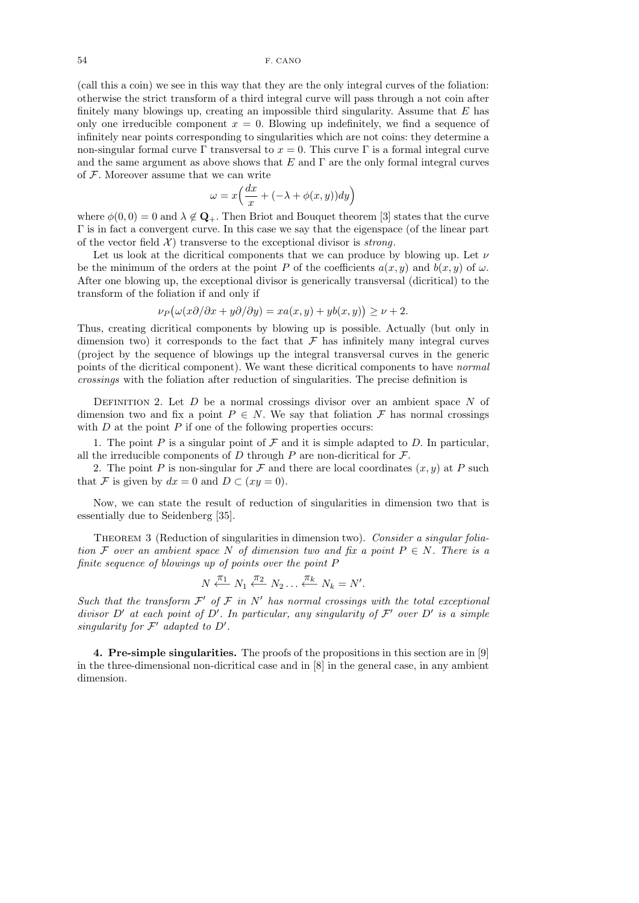(call this a coin) we see in this way that they are the only integral curves of the foliation: otherwise the strict transform of a third integral curve will pass through a not coin after finitely many blowings up, creating an impossible third singularity. Assume that  $E$  has only one irreducible component  $x = 0$ . Blowing up indefinitely, we find a sequence of infinitely near points corresponding to singularities which are not coins: they determine a non-singular formal curve Γ transversal to  $x = 0$ . This curve Γ is a formal integral curve and the same argument as above shows that  $E$  and  $\Gamma$  are the only formal integral curves of F. Moreover assume that we can write

$$
\omega = x \Big( \frac{dx}{x} + (-\lambda + \phi(x, y)) dy \Big)
$$

where  $\phi(0,0) = 0$  and  $\lambda \notin \mathbf{Q}_+$ . Then Briot and Bouquet theorem [3] states that the curve Γ is in fact a convergent curve. In this case we say that the eigenspace (of the linear part of the vector field  $\mathcal{X}$  transverse to the exceptional divisor is *strong*.

Let us look at the dicritical components that we can produce by blowing up. Let  $\nu$ be the minimum of the orders at the point P of the coefficients  $a(x, y)$  and  $b(x, y)$  of  $\omega$ . After one blowing up, the exceptional divisor is generically transversal (dicritical) to the transform of the foliation if and only if

$$
\nu_P\big(\omega(x\partial/\partial x+y\partial/\partial y)=xa(x,y)+yb(x,y)\big)\geq\nu+2.
$$

Thus, creating dicritical components by blowing up is possible. Actually (but only in dimension two) it corresponds to the fact that  $\mathcal F$  has infinitely many integral curves (project by the sequence of blowings up the integral transversal curves in the generic points of the dicritical component). We want these dicritical components to have normal crossings with the foliation after reduction of singularities. The precise definition is

DEFINITION 2. Let  $D$  be a normal crossings divisor over an ambient space  $N$  of dimension two and fix a point  $P \in N$ . We say that foliation  $\mathcal F$  has normal crossings with  $D$  at the point  $P$  if one of the following properties occurs:

1. The point P is a singular point of F and it is simple adapted to D. In particular, all the irreducible components of  $D$  through  $P$  are non-dicritical for  $\mathcal{F}$ .

2. The point P is non-singular for F and there are local coordinates  $(x, y)$  at P such that F is given by  $dx = 0$  and  $D \subset (xy = 0)$ .

Now, we can state the result of reduction of singularities in dimension two that is essentially due to Seidenberg [35].

THEOREM 3 (Reduction of singularities in dimension two). Consider a singular foliation F over an ambient space N of dimension two and fix a point  $P \in N$ . There is a finite sequence of blowings up of points over the point P

$$
N \stackrel{\pi_1}{\longleftarrow} N_1 \stackrel{\pi_2}{\longleftarrow} N_2 \ldots \stackrel{\pi_k}{\longleftarrow} N_k = N'.
$$

Such that the transform  $\mathcal{F}'$  of  $\mathcal{F}$  in  $N'$  has normal crossings with the total exceptional divisor D' at each point of D'. In particular, any singularity of  $\mathcal{F}'$  over D' is a simple singularity for  $\mathcal{F}'$  adapted to  $D'$ .

4. Pre-simple singularities. The proofs of the propositions in this section are in [9] in the three-dimensional non-dicritical case and in [8] in the general case, in any ambient dimension.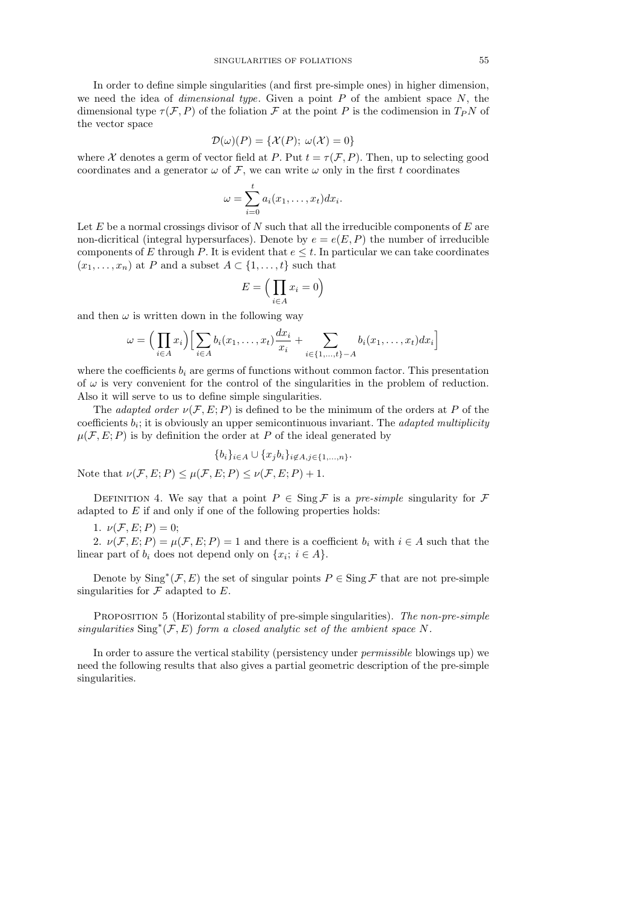In order to define simple singularities (and first pre-simple ones) in higher dimension, we need the idea of *dimensional type*. Given a point  $P$  of the ambient space  $N$ , the dimensional type  $\tau(\mathcal{F}, P)$  of the foliation  $\mathcal{F}$  at the point P is the codimension in  $T_P N$  of the vector space

$$
\mathcal{D}(\omega)(P) = \{ \mathcal{X}(P); \ \omega(\mathcal{X}) = 0 \}
$$

where X denotes a germ of vector field at P. Put  $t = \tau(\mathcal{F}, P)$ . Then, up to selecting good coordinates and a generator  $\omega$  of F, we can write  $\omega$  only in the first t coordinates

$$
\omega = \sum_{i=0}^t a_i(x_1,\ldots,x_t) dx_i.
$$

Let  $E$  be a normal crossings divisor of  $N$  such that all the irreducible components of  $E$  are non-dicritical (integral hypersurfaces). Denote by  $e = e(E, P)$  the number of irreducible components of E through P. It is evident that  $e \leq t$ . In particular we can take coordinates  $(x_1, \ldots, x_n)$  at P and a subset  $A \subset \{1, \ldots, t\}$  such that

$$
E = \Big(\prod_{i \in A} x_i = 0\Big)
$$

and then  $\omega$  is written down in the following way

$$
\omega = \Big(\prod_{i \in A} x_i\Big) \Big[\sum_{i \in A} b_i(x_1,\ldots,x_t) \frac{dx_i}{x_i} + \sum_{i \in \{1,\ldots,t\}-A} b_i(x_1,\ldots,x_t) dx_i\Big]
$$

where the coefficients  $b_i$  are germs of functions without common factor. This presentation of  $\omega$  is very convenient for the control of the singularities in the problem of reduction. Also it will serve to us to define simple singularities.

The *adapted order*  $\nu(F, E; P)$  is defined to be the minimum of the orders at P of the coefficients  $b_i$ ; it is obviously an upper semicontinuous invariant. The *adapted multiplicity*  $\mu(F, E; P)$  is by definition the order at P of the ideal generated by

$$
\{b_i\}_{i\in A} \cup \{x_jb_i\}_{i\not\in A, j\in \{1,\dots,n\}}.
$$

Note that  $\nu(\mathcal{F}, E; P) \leq \mu(\mathcal{F}, E; P) \leq \nu(\mathcal{F}, E; P) + 1$ .

DEFINITION 4. We say that a point  $P \in \text{Sing } \mathcal{F}$  is a pre-simple singularity for  $\mathcal{F}$ adapted to  $E$  if and only if one of the following properties holds:

1.  $\nu(\mathcal{F}, E; P) = 0;$ 

2.  $\nu(F, E; P) = \mu(F, E; P) = 1$  and there is a coefficient  $b_i$  with  $i \in A$  such that the linear part of  $b_i$  does not depend only on  $\{x_i; i \in A\}$ .

Denote by  $\text{Sing}^*(\mathcal{F}, E)$  the set of singular points  $P \in \text{Sing } \mathcal{F}$  that are not pre-simple singularities for  $\mathcal F$  adapted to  $E$ .

PROPOSITION 5 (Horizontal stability of pre-simple singularities). The non-pre-simple singularities  $\text{Sing}^*(\mathcal{F}, E)$  form a closed analytic set of the ambient space N.

In order to assure the vertical stability (persistency under *permissible* blowings up) we need the following results that also gives a partial geometric description of the pre-simple singularities.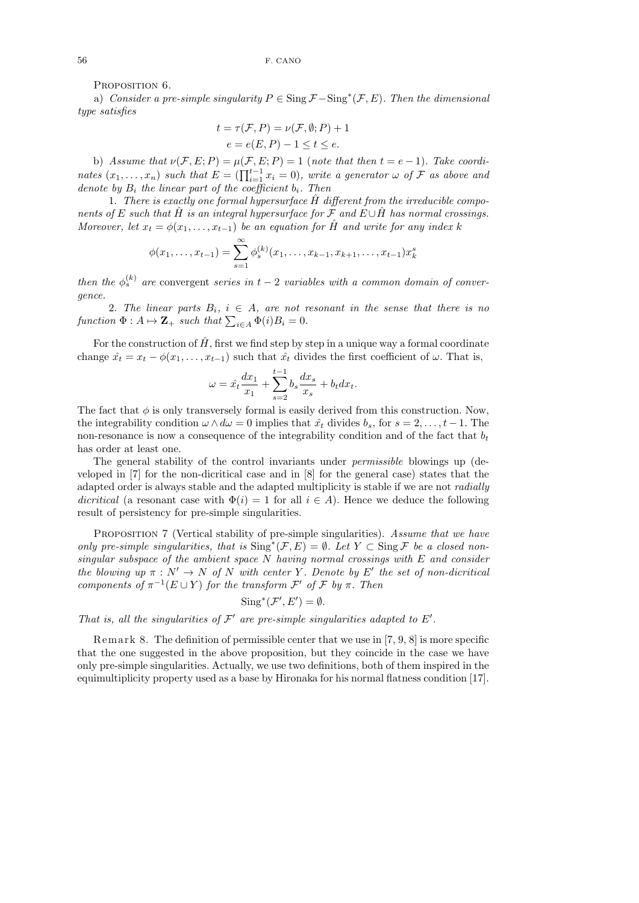PROPOSITION 6.

a) Consider a pre-simple singularity  $P \in \text{Sing } \mathcal{F} - \text{Sing}^*(\mathcal{F}, E)$ . Then the dimensional type satisfies

$$
t = \tau(\mathcal{F}, P) = \nu(\mathcal{F}, \emptyset; P) + 1
$$

$$
e = e(E, P) - 1 \le t \le e.
$$

b) Assume that  $\nu(\mathcal{F}, E; P) = \mu(\mathcal{F}, E; P) = 1$  (note that then  $t = e - 1$ ). Take coordinates  $(x_1, \ldots, x_n)$  such that  $E = (\prod_{i=1}^{t-1} x_i = 0)$ , write a generator  $\omega$  of  $\mathcal F$  as above and denote by  $B_i$  the linear part of the coefficient  $b_i$ . Then

1. There is exactly one formal hypersurface  $\hat{H}$  different from the irreducible components of E such that H $\hat{H}$  is an integral hypersurface for F and E∪H $\hat{H}$  has normal crossings. Moreover, let  $x_t = \phi(x_1, \ldots, x_{t-1})$  be an equation for  $\hat{H}$  and write for any index k

$$
\phi(x_1,\ldots,x_{t-1})=\sum_{s=1}^{\infty}\phi_s^{(k)}(x_1,\ldots,x_{k-1},x_{k+1},\ldots,x_{t-1})x_k^s
$$

then the  $\phi_s^{(k)}$  are convergent series in  $t-2$  variables with a common domain of convergence.

2. The linear parts  $B_i$ ,  $i \in A$ , are not resonant in the sense that there is no function  $\Phi: A \mapsto \mathbf{Z}_+$  such that  $\sum_{i \in A} \Phi(i)B_i = 0$ .

For the construction of  $\hat{H}$ , first we find step by step in a unique way a formal coordinate change  $\hat{x}_t = x_t - \phi(x_1, \ldots, x_{t-1})$  such that  $\hat{x}_t$  divides the first coefficient of  $\omega$ . That is,

$$
\omega = \hat{x}_t \frac{dx_1}{x_1} + \sum_{s=2}^{t-1} b_s \frac{dx_s}{x_s} + b_t dx_t.
$$

The fact that  $\phi$  is only transversely formal is easily derived from this construction. Now, the integrability condition  $\omega \wedge d\omega = 0$  implies that  $\hat{x_t}$  divides  $b_s$ , for  $s = 2, \ldots, t-1$ . The non-resonance is now a consequence of the integrability condition and of the fact that  $b_t$ has order at least one.

The general stability of the control invariants under permissible blowings up (developed in [7] for the non-dicritical case and in [8] for the general case) states that the adapted order is always stable and the adapted multiplicity is stable if we are not *radially* dicritical (a resonant case with  $\Phi(i) = 1$  for all  $i \in A$ ). Hence we deduce the following result of persistency for pre-simple singularities.

PROPOSITION 7 (Vertical stability of pre-simple singularities). Assume that we have only pre-simple singularities, that is  $\text{Sing}^*(\mathcal{F}, E) = \emptyset$ . Let  $Y \subset \text{Sing } \mathcal{F}$  be a closed nonsingular subspace of the ambient space  $N$  having normal crossings with  $E$  and consider the blowing up  $\pi : N' \to N$  of N with center Y. Denote by E' the set of non-dicritical components of  $\pi^{-1}(E \cup Y)$  for the transform  $\mathcal{F}'$  of  $\mathcal{F}$  by  $\pi$ . Then

$$
Sing^*(\mathcal{F}', E') = \emptyset.
$$

That is, all the singularities of  $\mathcal{F}'$  are pre-simple singularities adapted to  $E'$ .

Remark 8. The definition of permissible center that we use in  $[7, 9, 8]$  is more specific that the one suggested in the above proposition, but they coincide in the case we have only pre-simple singularities. Actually, we use two definitions, both of them inspired in the equimultiplicity property used as a base by Hironaka for his normal flatness condition [17].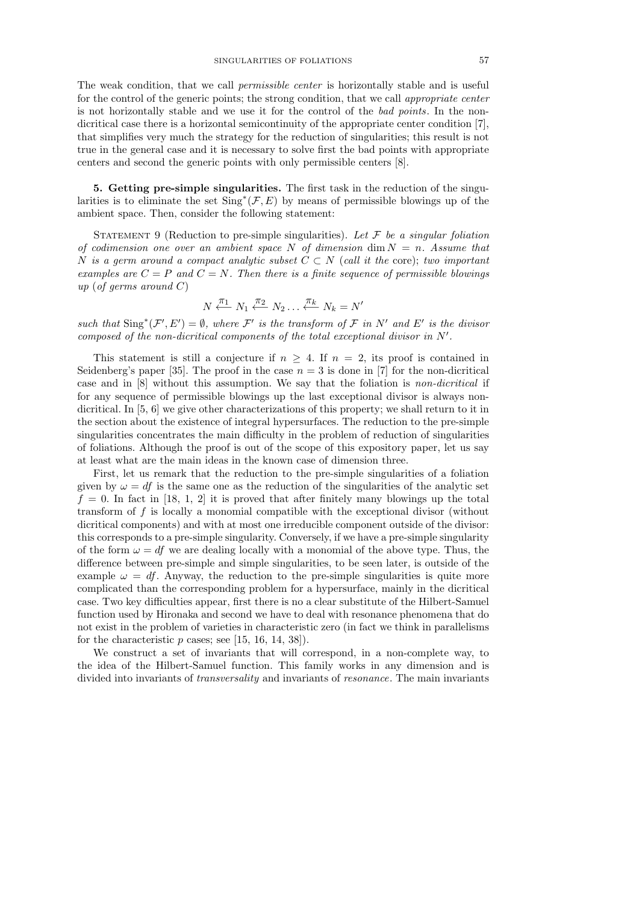The weak condition, that we call permissible center is horizontally stable and is useful for the control of the generic points; the strong condition, that we call appropriate center is not horizontally stable and we use it for the control of the bad points. In the nondicritical case there is a horizontal semicontinuity of the appropriate center condition [7], that simplifies very much the strategy for the reduction of singularities; this result is not true in the general case and it is necessary to solve first the bad points with appropriate centers and second the generic points with only permissible centers [8].

5. Getting pre-simple singularities. The first task in the reduction of the singularities is to eliminate the set  $\text{Sing}^*(\mathcal{F}, E)$  by means of permissible blowings up of the ambient space. Then, consider the following statement:

STATEMENT 9 (Reduction to pre-simple singularities). Let  $\mathcal F$  be a singular foliation of codimension one over an ambient space N of dimension dim  $N = n$ . Assume that N is a germ around a compact analytic subset  $C \subset N$  (call it the core); two important examples are  $C = P$  and  $C = N$ . Then there is a finite sequence of permissible blowings up (of germs around  $C$ )

$$
N \xleftarrow{\pi_1} N_1 \xleftarrow{\pi_2} N_2 \dots \xleftarrow{\pi_k} N_k = N'
$$

such that  $\text{Sing}^*(\mathcal{F}', E') = \emptyset$ , where  $\mathcal{F}'$  is the transform of  $\mathcal{F}$  in  $N'$  and  $E'$  is the divisor composed of the non-dicritical components of the total exceptional divisor in  $N'$ .

This statement is still a conjecture if  $n > 4$ . If  $n = 2$ , its proof is contained in Seidenberg's paper [35]. The proof in the case  $n = 3$  is done in [7] for the non-dicritical case and in [8] without this assumption. We say that the foliation is non-dicritical if for any sequence of permissible blowings up the last exceptional divisor is always nondicritical. In [5, 6] we give other characterizations of this property; we shall return to it in the section about the existence of integral hypersurfaces. The reduction to the pre-simple singularities concentrates the main difficulty in the problem of reduction of singularities of foliations. Although the proof is out of the scope of this expository paper, let us say at least what are the main ideas in the known case of dimension three.

First, let us remark that the reduction to the pre-simple singularities of a foliation given by  $\omega = df$  is the same one as the reduction of the singularities of the analytic set  $f = 0$ . In fact in [18, 1, 2] it is proved that after finitely many blowings up the total transform of f is locally a monomial compatible with the exceptional divisor (without dicritical components) and with at most one irreducible component outside of the divisor: this corresponds to a pre-simple singularity. Conversely, if we have a pre-simple singularity of the form  $\omega = df$  we are dealing locally with a monomial of the above type. Thus, the difference between pre-simple and simple singularities, to be seen later, is outside of the example  $\omega = df$ . Anyway, the reduction to the pre-simple singularities is quite more complicated than the corresponding problem for a hypersurface, mainly in the dicritical case. Two key difficulties appear, first there is no a clear substitute of the Hilbert-Samuel function used by Hironaka and second we have to deal with resonance phenomena that do not exist in the problem of varieties in characteristic zero (in fact we think in parallelisms for the characteristic  $p$  cases; see [15, 16, 14, 38]).

We construct a set of invariants that will correspond, in a non-complete way, to the idea of the Hilbert-Samuel function. This family works in any dimension and is divided into invariants of transversality and invariants of resonance. The main invariants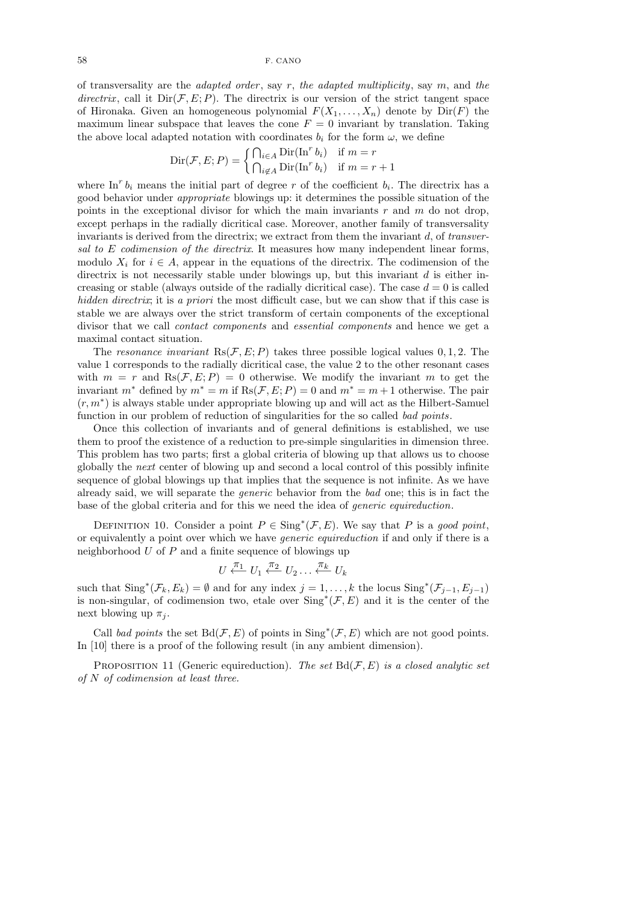of transversality are the *adapted order*, say  $r$ , the *adapted multiplicity*, say  $m$ , and the directrix, call it  $Dir(\mathcal{F}, E; P)$ . The directrix is our version of the strict tangent space of Hironaka. Given an homogeneous polynomial  $F(X_1, \ldots, X_n)$  denote by  $Dir(F)$  the maximum linear subspace that leaves the cone  $F = 0$  invariant by translation. Taking the above local adapted notation with coordinates  $b_i$  for the form  $\omega$ , we define

$$
Dir(\mathcal{F}, E; P) = \begin{cases} \bigcap_{i \in A} Dir(\text{In}^r b_i) & \text{if } m = r \\ \bigcap_{i \notin A} Dir(\text{In}^r b_i) & \text{if } m = r + 1 \end{cases}
$$

where In<sup>r</sup>  $b_i$  means the initial part of degree r of the coefficient  $b_i$ . The directrix has a good behavior under appropriate blowings up: it determines the possible situation of the points in the exceptional divisor for which the main invariants  $r$  and  $m$  do not drop, except perhaps in the radially dicritical case. Moreover, another family of transversality invariants is derived from the directrix; we extract from them the invariant  $d$ , of transversal to E codimension of the directrix. It measures how many independent linear forms, modulo  $X_i$  for  $i \in A$ , appear in the equations of the directrix. The codimension of the directrix is not necessarily stable under blowings up, but this invariant  $d$  is either increasing or stable (always outside of the radially dicritical case). The case  $d = 0$  is called hidden directrix; it is a priori the most difficult case, but we can show that if this case is stable we are always over the strict transform of certain components of the exceptional divisor that we call contact components and essential components and hence we get a maximal contact situation.

The resonance invariant  $Rs(\mathcal{F}, E; P)$  takes three possible logical values 0, 1, 2. The value 1 corresponds to the radially dicritical case, the value 2 to the other resonant cases with  $m = r$  and  $\text{Rs}(\mathcal{F}, E; P) = 0$  otherwise. We modify the invariant m to get the invariant  $m^*$  defined by  $m^* = m$  if  $\text{Rs}(\mathcal{F}, E; P) = 0$  and  $m^* = m + 1$  otherwise. The pair (r, m<sup>∗</sup> ) is always stable under appropriate blowing up and will act as the Hilbert-Samuel function in our problem of reduction of singularities for the so called bad points.

Once this collection of invariants and of general definitions is established, we use them to proof the existence of a reduction to pre-simple singularities in dimension three. This problem has two parts; first a global criteria of blowing up that allows us to choose globally the next center of blowing up and second a local control of this possibly infinite sequence of global blowings up that implies that the sequence is not infinite. As we have already said, we will separate the generic behavior from the bad one; this is in fact the base of the global criteria and for this we need the idea of generic equireduction.

DEFINITION 10. Consider a point  $P \in Sing^*(\mathcal{F}, E)$ . We say that P is a good point, or equivalently a point over which we have generic equireduction if and only if there is a neighborhood  $U$  of  $P$  and a finite sequence of blowings up

$$
U \stackrel{\pi_1}{\longleftarrow} U_1 \stackrel{\pi_2}{\longleftarrow} U_2 \dots \stackrel{\pi_k}{\longleftarrow} U_k
$$

such that  $\text{Sing}^*(\mathcal{F}_k, E_k) = \emptyset$  and for any index  $j = 1, ..., k$  the locus  $\text{Sing}^*(\mathcal{F}_{j-1}, E_{j-1})$ is non-singular, of codimension two, etale over  $\text{Sing}^*(\mathcal{F}, E)$  and it is the center of the next blowing up  $\pi_i$ .

Call bad points the set  $Bd(\mathcal{F}, E)$  of points in  $\text{Sing}^*(\mathcal{F}, E)$  which are not good points. In [10] there is a proof of the following result (in any ambient dimension).

PROPOSITION 11 (Generic equireduction). The set  $Bd(\mathcal{F}, E)$  is a closed analytic set of  $N$  of codimension at least three.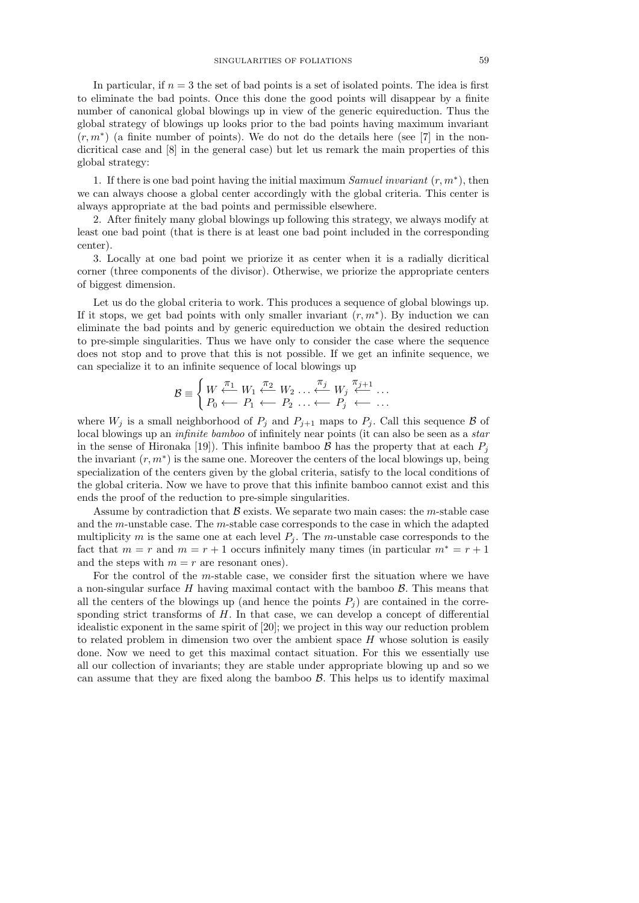In particular, if  $n = 3$  the set of bad points is a set of isolated points. The idea is first to eliminate the bad points. Once this done the good points will disappear by a finite number of canonical global blowings up in view of the generic equireduction. Thus the global strategy of blowings up looks prior to the bad points having maximum invariant  $(r, m^*)$  (a finite number of points). We do not do the details here (see [7] in the nondicritical case and [8] in the general case) but let us remark the main properties of this global strategy:

1. If there is one bad point having the initial maximum Samuel invariant  $(r, m^*)$ , then we can always choose a global center accordingly with the global criteria. This center is always appropriate at the bad points and permissible elsewhere.

2. After finitely many global blowings up following this strategy, we always modify at least one bad point (that is there is at least one bad point included in the corresponding center).

3. Locally at one bad point we priorize it as center when it is a radially dicritical corner (three components of the divisor). Otherwise, we priorize the appropriate centers of biggest dimension.

Let us do the global criteria to work. This produces a sequence of global blowings up. If it stops, we get bad points with only smaller invariant  $(r, m^*)$ . By induction we can eliminate the bad points and by generic equireduction we obtain the desired reduction to pre-simple singularities. Thus we have only to consider the case where the sequence does not stop and to prove that this is not possible. If we get an infinite sequence, we can specialize it to an infinite sequence of local blowings up

$$
\mathcal{B} \equiv \begin{cases} W \stackrel{\pi_1}{\longleftarrow} W_1 \stackrel{\pi_2}{\longleftarrow} W_2 \dots \stackrel{\pi_j}{\longleftarrow} W_j \stackrel{\pi_{j+1}}{\longleftarrow} \dots \\ P_0 \longleftarrow P_1 \longleftarrow P_2 \dots \longleftarrow P_j \longleftarrow \dots \end{cases}
$$

where  $W_j$  is a small neighborhood of  $P_j$  and  $P_{j+1}$  maps to  $P_j$ . Call this sequence  $\beta$  of local blowings up an *infinite bamboo* of infinitely near points (it can also be seen as a *star* in the sense of Hironaka [19]). This infinite bamboo  $\mathcal{B}$  has the property that at each  $P_i$ the invariant  $(r, m^*)$  is the same one. Moreover the centers of the local blowings up, being specialization of the centers given by the global criteria, satisfy to the local conditions of the global criteria. Now we have to prove that this infinite bamboo cannot exist and this ends the proof of the reduction to pre-simple singularities.

Assume by contradiction that  $\beta$  exists. We separate two main cases: the m-stable case and the m-unstable case. The m-stable case corresponds to the case in which the adapted multiplicity m is the same one at each level  $P_i$ . The m-unstable case corresponds to the fact that  $m = r$  and  $m = r + 1$  occurs infinitely many times (in particular  $m^* = r + 1$ and the steps with  $m = r$  are resonant ones).

For the control of the m-stable case, we consider first the situation where we have a non-singular surface  $H$  having maximal contact with the bamboo  $\beta$ . This means that all the centers of the blowings up (and hence the points  $P_j$ ) are contained in the corresponding strict transforms of  $H$ . In that case, we can develop a concept of differential idealistic exponent in the same spirit of [20]; we project in this way our reduction problem to related problem in dimension two over the ambient space  $H$  whose solution is easily done. Now we need to get this maximal contact situation. For this we essentially use all our collection of invariants; they are stable under appropriate blowing up and so we can assume that they are fixed along the bamboo  $\beta$ . This helps us to identify maximal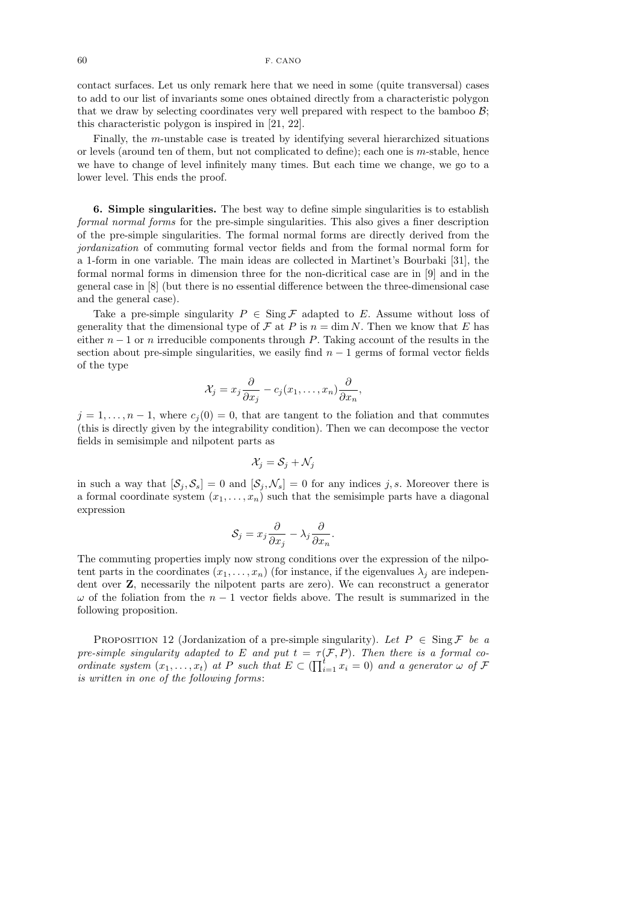contact surfaces. Let us only remark here that we need in some (quite transversal) cases to add to our list of invariants some ones obtained directly from a characteristic polygon that we draw by selecting coordinates very well prepared with respect to the bamboo  $\mathcal{B}$ ; this characteristic polygon is inspired in [21, 22].

Finally, the m-unstable case is treated by identifying several hierarchized situations or levels (around ten of them, but not complicated to define); each one is m-stable, hence we have to change of level infinitely many times. But each time we change, we go to a lower level. This ends the proof.

6. Simple singularities. The best way to define simple singularities is to establish formal normal forms for the pre-simple singularities. This also gives a finer description of the pre-simple singularities. The formal normal forms are directly derived from the jordanization of commuting formal vector fields and from the formal normal form for a 1-form in one variable. The main ideas are collected in Martinet's Bourbaki [31], the formal normal forms in dimension three for the non-dicritical case are in [9] and in the general case in [8] (but there is no essential difference between the three-dimensional case and the general case).

Take a pre-simple singularity  $P \in \text{Sing } \mathcal{F}$  adapted to E. Assume without loss of generality that the dimensional type of  $\mathcal F$  at P is  $n = \dim N$ . Then we know that E has either  $n-1$  or n irreducible components through P. Taking account of the results in the section about pre-simple singularities, we easily find  $n - 1$  germs of formal vector fields of the type

$$
\mathcal{X}_j = x_j \frac{\partial}{\partial x_j} - c_j(x_1, \dots, x_n) \frac{\partial}{\partial x_n},
$$

 $j = 1, \ldots, n-1$ , where  $c_j(0) = 0$ , that are tangent to the foliation and that commutes (this is directly given by the integrability condition). Then we can decompose the vector fields in semisimple and nilpotent parts as

$$
\mathcal{X}_j = \mathcal{S}_j + \mathcal{N}_j
$$

in such a way that  $[\mathcal{S}_j, \mathcal{S}_s] = 0$  and  $[\mathcal{S}_j, \mathcal{N}_s] = 0$  for any indices j, s. Moreover there is a formal coordinate system  $(x_1, \ldots, x_n)$  such that the semisimple parts have a diagonal expression

$$
\mathcal{S}_j = x_j \frac{\partial}{\partial x_j} - \lambda_j \frac{\partial}{\partial x_n}.
$$

The commuting properties imply now strong conditions over the expression of the nilpotent parts in the coordinates  $(x_1, \ldots, x_n)$  (for instance, if the eigenvalues  $\lambda_i$  are independent over Z, necessarily the nilpotent parts are zero). We can reconstruct a generator  $\omega$  of the foliation from the  $n-1$  vector fields above. The result is summarized in the following proposition.

PROPOSITION 12 (Jordanization of a pre-simple singularity). Let  $P \in \text{Sing } \mathcal{F}$  be a pre-simple singularity adapted to E and put  $t = \tau(\mathcal{F}, P)$ . Then there is a formal coordinate system  $(x_1, \ldots, x_t)$  at P such that  $E \subset (\prod_{i=1}^t x_i = 0)$  and a generator  $\omega$  of  $\mathcal F$ is written in one of the following forms: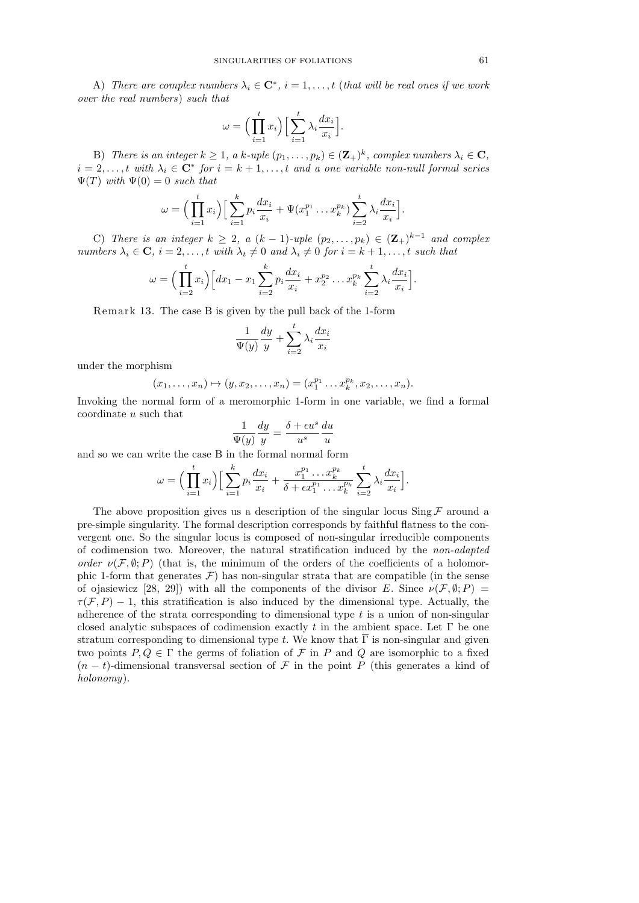A) There are complex numbers  $\lambda_i \in \mathbb{C}^*$ ,  $i = 1, \ldots, t$  (that will be real ones if we work over the real numbers) such that

$$
\omega = \Big(\prod_{i=1}^t x_i\Big) \Big[\sum_{i=1}^t \lambda_i \frac{dx_i}{x_i}\Big].
$$

B) There is an integer  $k \geq 1$ , a k-uple  $(p_1, \ldots, p_k) \in (\mathbf{Z}_+)^k$ , complex numbers  $\lambda_i \in \mathbf{C}$ ,  $i = 2, \ldots, t$  with  $\lambda_i \in \mathbb{C}^*$  for  $i = k + 1, \ldots, t$  and a one variable non-null formal series  $\Psi(T)$  with  $\Psi(0) = 0$  such that

$$
\omega = \Big(\prod_{i=1}^t x_i\Big) \Big[\sum_{i=1}^k p_i \frac{dx_i}{x_i} + \Psi(x_1^{p_1} \dots x_k^{p_k}) \sum_{i=2}^t \lambda_i \frac{dx_i}{x_i}\Big].
$$

C) There is an integer  $k \geq 2$ , a  $(k-1)$ -uple  $(p_2, \ldots, p_k) \in (\mathbf{Z}_+)^{k-1}$  and complex numbers  $\lambda_i \in \mathbf{C}$ ,  $i = 2, \ldots, t$  with  $\lambda_t \neq 0$  and  $\lambda_i \neq 0$  for  $i = k + 1, \ldots, t$  such that

$$
\omega = \Big(\prod_{i=2}^t x_i\Big) \Big[ dx_1 - x_1 \sum_{i=2}^k p_i \frac{dx_i}{x_i} + x_2^{p_2} \dots x_k^{p_k} \sum_{i=2}^t \lambda_i \frac{dx_i}{x_i} \Big].
$$

Remark 13. The case  $B$  is given by the pull back of the 1-form

$$
\frac{1}{\Psi(y)}\frac{dy}{y}+\sum_{i=2}^t\lambda_i\frac{dx_i}{x_i}
$$

under the morphism

$$
(x_1,...,x_n) \mapsto (y,x_2,...,x_n) = (x_1^{p_1}...x_k^{p_k}, x_2,...,x_n).
$$

Invoking the normal form of a meromorphic 1-form in one variable, we find a formal coordinate u such that

$$
\frac{1}{\Psi(y)}\frac{dy}{y} = \frac{\delta + \epsilon u^s}{u^s}\frac{du}{u}
$$

and so we can write the case B in the formal normal form

$$
\omega = \Big(\prod_{i=1}^t x_i\Big) \Big[\sum_{i=1}^k p_i \frac{dx_i}{x_i} + \frac{x_1^{p_1} \dots x_k^{p_k}}{\delta + \epsilon x_1^{p_1} \dots x_k^{p_k}} \sum_{i=2}^t \lambda_i \frac{dx_i}{x_i}\Big].
$$

The above proposition gives us a description of the singular locus Sing  $\mathcal F$  around a pre-simple singularity. The formal description corresponds by faithful flatness to the convergent one. So the singular locus is composed of non-singular irreducible components of codimension two. Moreover, the natural stratification induced by the non-adapted order  $\nu(\mathcal{F}, \emptyset; P)$  (that is, the minimum of the orders of the coefficients of a holomorphic 1-form that generates  $\mathcal{F}$ ) has non-singular strata that are compatible (in the sense of ojasiewicz [28, 29]) with all the components of the divisor E. Since  $\nu(F, \emptyset; P) =$  $\tau(F, P) - 1$ , this stratification is also induced by the dimensional type. Actually, the adherence of the strata corresponding to dimensional type  $t$  is a union of non-singular closed analytic subspaces of codimension exactly  $t$  in the ambient space. Let  $\Gamma$  be one stratum corresponding to dimensional type t. We know that  $\overline{\Gamma}$  is non-singular and given two points  $P, Q \in \Gamma$  the germs of foliation of F in P and Q are isomorphic to a fixed  $(n-t)$ -dimensional transversal section of F in the point P (this generates a kind of holonomy).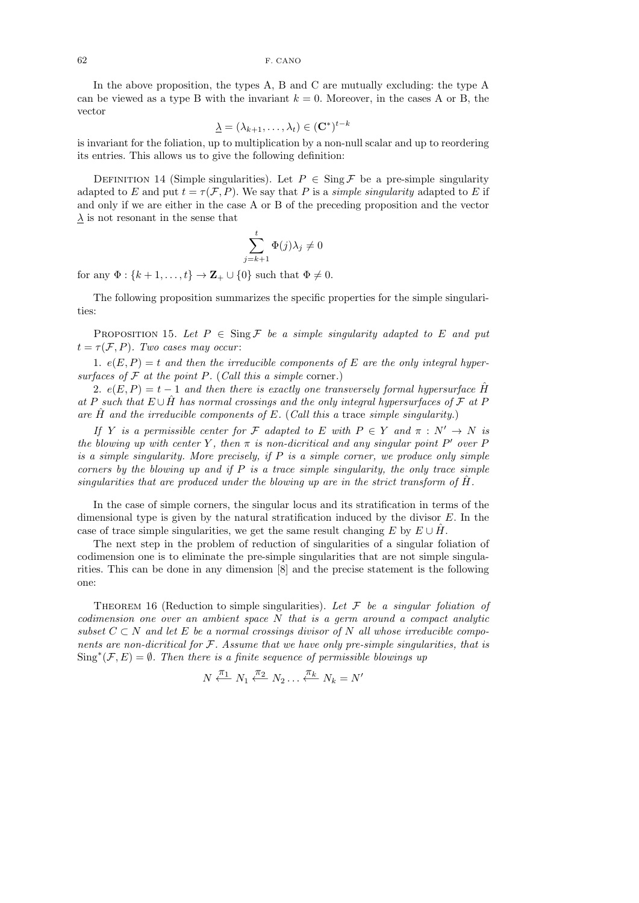In the above proposition, the types A, B and C are mutually excluding: the type A can be viewed as a type B with the invariant  $k = 0$ . Moreover, in the cases A or B, the vector

$$
\underline{\lambda} = (\lambda_{k+1}, \dots, \lambda_t) \in (\mathbf{C}^*)^{t-k}
$$

is invariant for the foliation, up to multiplication by a non-null scalar and up to reordering its entries. This allows us to give the following definition:

DEFINITION 14 (Simple singularities). Let  $P \in \text{Sing } \mathcal{F}$  be a pre-simple singularity adapted to E and put  $t = \tau(\mathcal{F}, P)$ . We say that P is a *simple singularity* adapted to E if and only if we are either in the case A or B of the preceding proposition and the vector  $\lambda$  is not resonant in the sense that

$$
\sum_{j=k+1}^{t} \Phi(j)\lambda_j \neq 0
$$

for any  $\Phi: \{k+1,\ldots,t\} \to \mathbf{Z}_{+} \cup \{0\}$  such that  $\Phi \neq 0$ .

The following proposition summarizes the specific properties for the simple singularities:

PROPOSITION 15. Let  $P \in \text{Sing } \mathcal{F}$  be a simple singularity adapted to E and put  $t = \tau(\mathcal{F}, P)$ . Two cases may occur:

1.  $e(E, P) = t$  and then the irreducible components of E are the only integral hypersurfaces of  $\mathcal F$  at the point P. (Call this a simple corner.)

2.  $e(E, P) = t - 1$  and then there is exactly one transversely formal hypersurface  $\hat{H}$ at P such that  $E \cup \hat{H}$  has normal crossings and the only integral hypersurfaces of F at P are  $\hat{H}$  and the irreducible components of E. (Call this a trace simple singularity.)

If Y is a permissible center for F adapted to E with  $P \in Y$  and  $\pi : N' \to N$  is the blowing up with center Y, then  $\pi$  is non-dicritical and any singular point P' over F is a simple singularity. More precisely, if  $P$  is a simple corner, we produce only simple corners by the blowing up and if  $P$  is a trace simple singularity, the only trace simple singularities that are produced under the blowing up are in the strict transform of  $H$ .

In the case of simple corners, the singular locus and its stratification in terms of the dimensional type is given by the natural stratification induced by the divisor  $E$ . In the case of trace simple singularities, we get the same result changing E by  $E \cup \hat{H}$ .

The next step in the problem of reduction of singularities of a singular foliation of codimension one is to eliminate the pre-simple singularities that are not simple singularities. This can be done in any dimension [8] and the precise statement is the following one:

THEOREM 16 (Reduction to simple singularities). Let  $\mathcal F$  be a singular foliation of codimension one over an ambient space N that is a germ around a compact analytic subset  $C \subset N$  and let E be a normal crossings divisor of N all whose irreducible components are non-dicritical for  $F$ . Assume that we have only pre-simple singularities, that is  $\text{Sing}^*(\mathcal{F}, E) = \emptyset$ . Then there is a finite sequence of permissible blowings up

$$
N \stackrel{\pi_1}{\longleftarrow} N_1 \stackrel{\pi_2}{\longleftarrow} N_2 \dots \stackrel{\pi_k}{\longleftarrow} N_k = N'
$$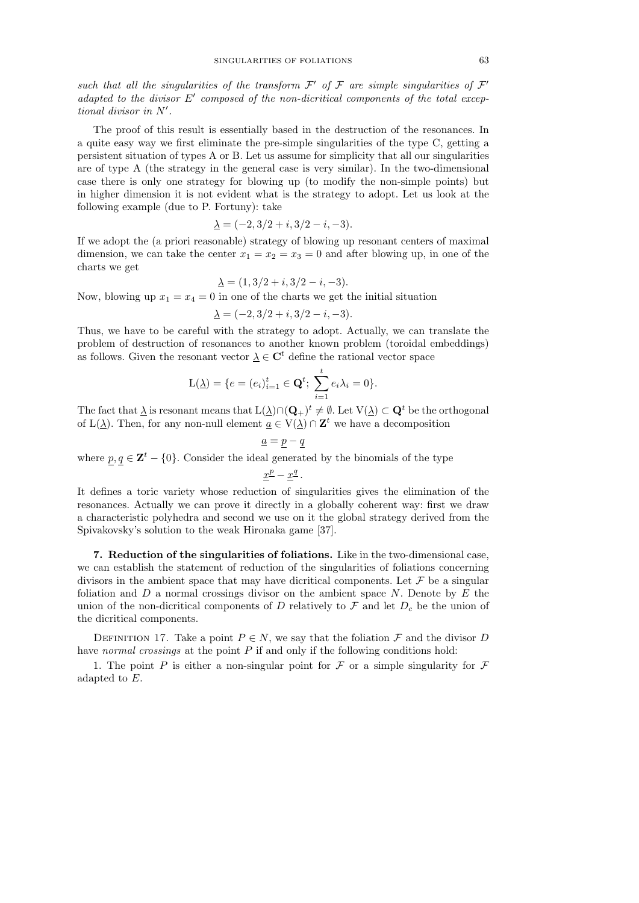such that all the singularities of the transform  $\mathcal{F}'$  of  $\mathcal F$  are simple singularities of  $\mathcal F'$ adapted to the divisor  $E'$  composed of the non-dicritical components of the total exceptional divisor in  $N'$ .

The proof of this result is essentially based in the destruction of the resonances. In a quite easy way we first eliminate the pre-simple singularities of the type C, getting a persistent situation of types A or B. Let us assume for simplicity that all our singularities are of type A (the strategy in the general case is very similar). In the two-dimensional case there is only one strategy for blowing up (to modify the non-simple points) but in higher dimension it is not evident what is the strategy to adopt. Let us look at the following example (due to P. Fortuny): take

$$
\underline{\lambda} = (-2, 3/2 + i, 3/2 - i, -3).
$$

If we adopt the (a priori reasonable) strategy of blowing up resonant centers of maximal dimension, we can take the center  $x_1 = x_2 = x_3 = 0$  and after blowing up, in one of the charts we get

$$
\underline{\lambda} = (1, 3/2 + i, 3/2 - i, -3).
$$

Now, blowing up  $x_1 = x_4 = 0$  in one of the charts we get the initial situation

$$
\underline{\lambda} = (-2, 3/2 + i, 3/2 - i, -3).
$$

Thus, we have to be careful with the strategy to adopt. Actually, we can translate the problem of destruction of resonances to another known problem (toroidal embeddings) as follows. Given the resonant vector  $\lambda \in \mathbb{C}^t$  define the rational vector space

$$
L(\underline{\lambda}) = \{e = (e_i)_{i=1}^t \in \mathbf{Q}^t; \ \sum_{i=1}^t e_i \lambda_i = 0\}.
$$

The fact that  $\Delta$  is resonant means that  $L(\Delta) \cap (\mathbf{Q}_+)^t \neq \emptyset$ . Let  $V(\Delta) \subset \mathbf{Q}^t$  be the orthogonal of  $L(\underline{\lambda})$ . Then, for any non-null element  $\underline{a} \in V(\underline{\lambda}) \cap \mathbf{Z}^t$  we have a decomposition

$$
\underline{a} = \underline{p} - \underline{q}
$$
  
where  $\underline{p}, \underline{q} \in \mathbf{Z}^t - \{0\}$ . Consider the ideal generated by the binomials of the type  

$$
\underline{x}^{\underline{p}} - \underline{x}^{\underline{q}}.
$$

It defines a toric variety whose reduction of singularities gives the elimination of the resonances. Actually we can prove it directly in a globally coherent way: first we draw a characteristic polyhedra and second we use on it the global strategy derived from the Spivakovsky's solution to the weak Hironaka game [37].

7. Reduction of the singularities of foliations. Like in the two-dimensional case, we can establish the statement of reduction of the singularities of foliations concerning divisors in the ambient space that may have dicritical components. Let  $\mathcal F$  be a singular foliation and  $D$  a normal crossings divisor on the ambient space  $N$ . Denote by  $E$  the union of the non-dicritical components of D relatively to F and let  $D_c$  be the union of the dicritical components.

DEFINITION 17. Take a point  $P \in N$ , we say that the foliation  $\mathcal F$  and the divisor D have normal crossings at the point  $P$  if and only if the following conditions hold:

1. The point P is either a non-singular point for F or a simple singularity for F adapted to E.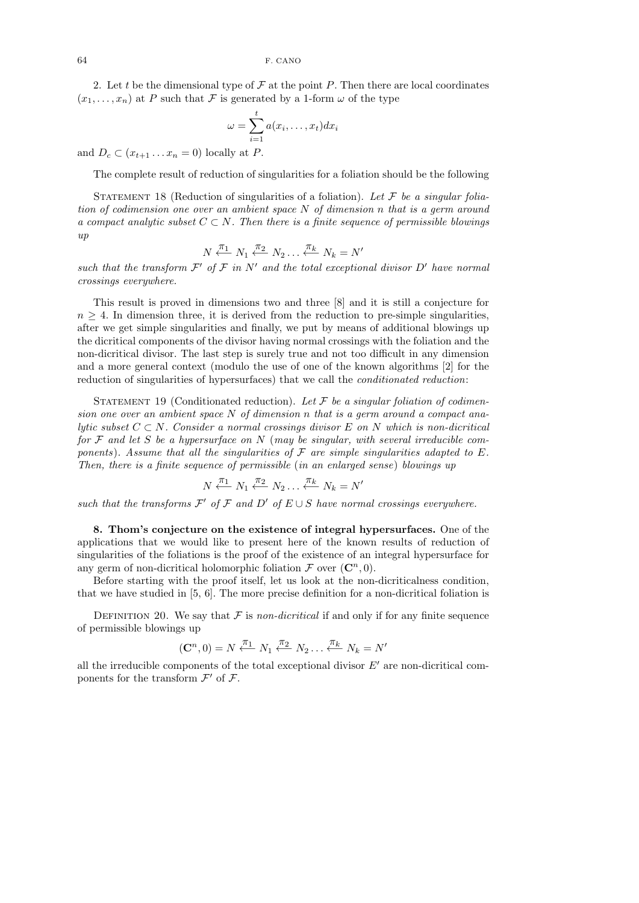2. Let t be the dimensional type of  $\mathcal F$  at the point P. Then there are local coordinates  $(x_1, \ldots, x_n)$  at P such that F is generated by a 1-form  $\omega$  of the type

$$
\omega = \sum_{i=1}^t a(x_i, \dots, x_t) dx_i
$$

and  $D_c \subset (x_{t+1} \ldots x_n = 0)$  locally at P.

The complete result of reduction of singularities for a foliation should be the following

STATEMENT 18 (Reduction of singularities of a foliation). Let  $\mathcal F$  be a singular foliation of codimension one over an ambient space N of dimension n that is a germ around a compact analytic subset  $C \subset N$ . Then there is a finite sequence of permissible blowings  $\eta_{l}$ 

$$
N \xleftarrow{\pi_1} N_1 \xleftarrow{\pi_2} N_2 \dots \xleftarrow{\pi_k} N_k = N'
$$

such that the transform  $\mathcal{F}'$  of  $\mathcal F$  in  $N'$  and the total exceptional divisor  $D'$  have normal crossings everywhere.

This result is proved in dimensions two and three [8] and it is still a conjecture for  $n \geq 4$ . In dimension three, it is derived from the reduction to pre-simple singularities, after we get simple singularities and finally, we put by means of additional blowings up the dicritical components of the divisor having normal crossings with the foliation and the non-dicritical divisor. The last step is surely true and not too difficult in any dimension and a more general context (modulo the use of one of the known algorithms [2] for the reduction of singularities of hypersurfaces) that we call the conditionated reduction:

STATEMENT 19 (Conditionated reduction). Let  $\mathcal F$  be a singular foliation of codimension one over an ambient space N of dimension n that is a germ around a compact analytic subset  $C \subset N$ . Consider a normal crossings divisor E on N which is non-dicritical for  $\mathcal F$  and let S be a hypersurface on N (may be singular, with several irreducible components). Assume that all the singularities of  $\mathcal F$  are simple singularities adapted to  $E$ . Then, there is a finite sequence of permissible (in an enlarged sense) blowings up

$$
N \xleftarrow{\pi_1} N_1 \xleftarrow{\pi_2} N_2 \dots \xleftarrow{\pi_k} N_k = N'
$$

such that the transforms  $\mathcal{F}'$  of  $\mathcal{F}$  and  $D'$  of  $E \cup S$  have normal crossings everywhere.

8. Thom's conjecture on the existence of integral hypersurfaces. One of the applications that we would like to present here of the known results of reduction of singularities of the foliations is the proof of the existence of an integral hypersurface for any germ of non-dicritical holomorphic foliation  $\mathcal F$  over  $(\mathbb C^n, 0)$ .

Before starting with the proof itself, let us look at the non-dicriticalness condition, that we have studied in [5, 6]. The more precise definition for a non-dicritical foliation is

DEFINITION 20. We say that  $\mathcal F$  is non-dicritical if and only if for any finite sequence of permissible blowings up

$$
(\mathbf{C}^n, 0) = N \stackrel{\pi_1}{\longleftarrow} N_1 \stackrel{\pi_2}{\longleftarrow} N_2 \dots \stackrel{\pi_k}{\longleftarrow} N_k = N'
$$

all the irreducible components of the total exceptional divisor  $E'$  are non-dicritical components for the transform  $\mathcal{F}'$  of  $\mathcal{F}$ .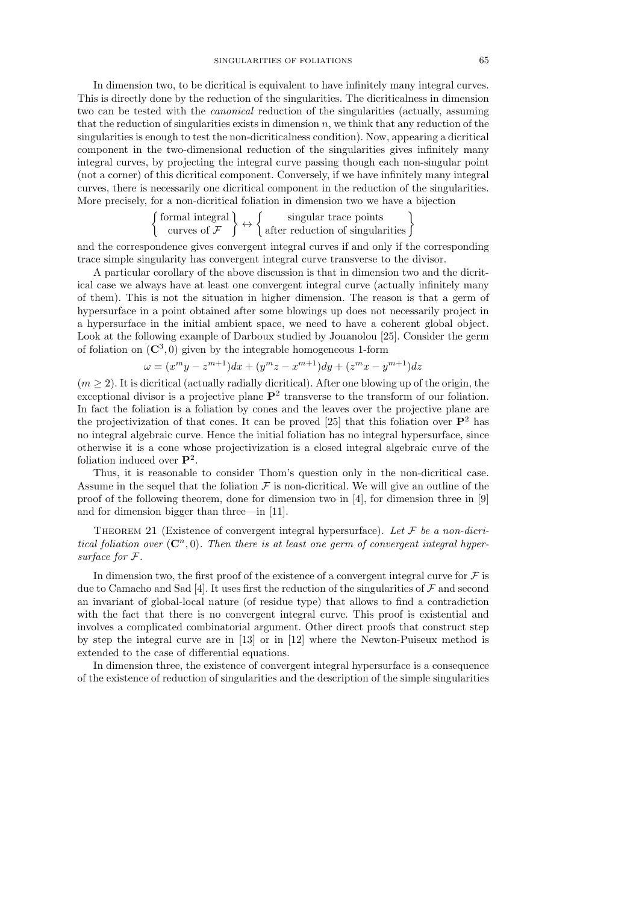In dimension two, to be dicritical is equivalent to have infinitely many integral curves. This is directly done by the reduction of the singularities. The dicriticalness in dimension two can be tested with the canonical reduction of the singularities (actually, assuming that the reduction of singularities exists in dimension  $n$ , we think that any reduction of the singularities is enough to test the non-dicriticalness condition). Now, appearing a dicritical component in the two-dimensional reduction of the singularities gives infinitely many integral curves, by projecting the integral curve passing though each non-singular point (not a corner) of this dicritical component. Conversely, if we have infinitely many integral curves, there is necessarily one dicritical component in the reduction of the singularities. More precisely, for a non-dicritical foliation in dimension two we have a bijection

$$
\left\{\begin{array}{c}\text{formal integral} \\ \text{curves of }\mathcal{F}\end{array}\right\} \leftrightarrow \left\{\begin{array}{c}\text{singular trace points} \\ \text{after reduction of singularities}\end{array}\right\}
$$

and the correspondence gives convergent integral curves if and only if the corresponding trace simple singularity has convergent integral curve transverse to the divisor.

A particular corollary of the above discussion is that in dimension two and the dicritical case we always have at least one convergent integral curve (actually infinitely many of them). This is not the situation in higher dimension. The reason is that a germ of hypersurface in a point obtained after some blowings up does not necessarily project in a hypersurface in the initial ambient space, we need to have a coherent global object. Look at the following example of Darboux studied by Jouanolou [25]. Consider the germ of foliation on  $(\mathbb{C}^3, 0)$  given by the integrable homogeneous 1-form

$$
\omega = (x^m y - z^{m+1})dx + (y^m z - x^{m+1})dy + (z^m x - y^{m+1})dz
$$

 $(m \geq 2)$ . It is dicritical (actually radially dicritical). After one blowing up of the origin, the exceptional divisor is a projective plane  $\mathbf{P}^2$  transverse to the transform of our foliation. In fact the foliation is a foliation by cones and the leaves over the projective plane are the projectivization of that cones. It can be proved [25] that this foliation over  $\mathbf{P}^2$  has no integral algebraic curve. Hence the initial foliation has no integral hypersurface, since otherwise it is a cone whose projectivization is a closed integral algebraic curve of the foliation induced over  $\mathbf{P}^2$ .

Thus, it is reasonable to consider Thom's question only in the non-dicritical case. Assume in the sequel that the foliation  $\mathcal F$  is non-dicritical. We will give an outline of the proof of the following theorem, done for dimension two in [4], for dimension three in [9] and for dimension bigger than three—in [11].

THEOREM 21 (Existence of convergent integral hypersurface). Let  $\mathcal F$  be a non-dicritical foliation over  $(\mathbb{C}^n,0)$ . Then there is at least one germ of convergent integral hypersurface for F.

In dimension two, the first proof of the existence of a convergent integral curve for  $\mathcal F$  is due to Camacho and Sad [4]. It uses first the reduction of the singularities of  $\mathcal F$  and second an invariant of global-local nature (of residue type) that allows to find a contradiction with the fact that there is no convergent integral curve. This proof is existential and involves a complicated combinatorial argument. Other direct proofs that construct step by step the integral curve are in [13] or in [12] where the Newton-Puiseux method is extended to the case of differential equations.

In dimension three, the existence of convergent integral hypersurface is a consequence of the existence of reduction of singularities and the description of the simple singularities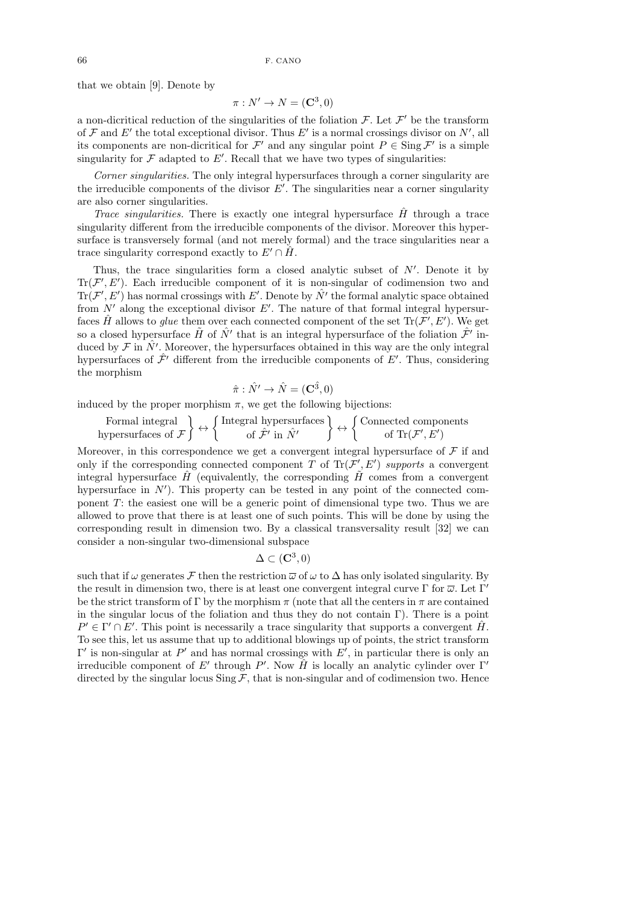that we obtain [9]. Denote by

$$
\pi : N' \to N = (\mathbf{C}^3, 0)
$$

a non-dicritical reduction of the singularities of the foliation  $\mathcal{F}$ . Let  $\mathcal{F}'$  be the transform of  $\mathcal F$  and  $E'$  the total exceptional divisor. Thus  $E'$  is a normal crossings divisor on  $N'$ , all its components are non-dicritical for  $\mathcal{F}'$  and any singular point  $P \in \text{Sing } \mathcal{F}'$  is a simple singularity for  $\mathcal F$  adapted to  $E'$ . Recall that we have two types of singularities:

Corner singularities. The only integral hypersurfaces through a corner singularity are the irreducible components of the divisor  $E'$ . The singularities near a corner singularity are also corner singularities.

Trace singularities. There is exactly one integral hypersurface  $H$  through a trace singularity different from the irreducible components of the divisor. Moreover this hypersurface is transversely formal (and not merely formal) and the trace singularities near a trace singularity correspond exactly to  $E' \cap \hat{H}$ .

Thus, the trace singularities form a closed analytic subset of  $N'$ . Denote it by  $\text{Tr}(\mathcal{F}', E')$ . Each irreducible component of it is non-singular of codimension two and  $\text{Tr}(\mathcal{F}', E')$  has normal crossings with E'. Denote by  $\hat{N'}$  the formal analytic space obtained from  $N'$  along the exceptional divisor  $E'$ . The nature of that formal integral hypersurfaces  $\hat{H}$  allows to glue them over each connected component of the set  $\text{Tr}(\mathcal{F}', E')$ . We get so a closed hypersurface  $\tilde{H}$  of  $\hat{N'}$  that is an integral hypersurface of the foliation  $\hat{\mathcal{F}}'$  induced by  $\mathcal F$  in  $\hat N'$ . Moreover, the hypersurfaces obtained in this way are the only integral hypersurfaces of  $\hat{\mathcal{F}}'$  different from the irreducible components of E'. Thus, considering the morphism

$$
\hat{\pi}: \hat{N'} \to \hat{N} = (\mathbf{C}^{\hat{3}}, 0)
$$

induced by the proper morphism  $\pi$ , we get the following bijections:

Formal integral  
hypersurfaces of 
$$
\mathcal{F}
$$
  $\longleftrightarrow$  {Integral hypersurfaces  
of  $\mathcal{F}'$  in  $\hat{N}'$   $\longleftrightarrow$  {Connected components  
of Tr( $\mathcal{F}', E'$ )

Moreover, in this correspondence we get a convergent integral hypersurface of  $\mathcal F$  if and only if the corresponding connected component T of  $\text{Tr}(\mathcal{F}', E')$  supports a convergent integral hypersurface  $\hat{H}$  (equivalently, the corresponding  $\hat{H}$  comes from a convergent hypersurface in  $N'$ ). This property can be tested in any point of the connected component T: the easiest one will be a generic point of dimensional type two. Thus we are allowed to prove that there is at least one of such points. This will be done by using the corresponding result in dimension two. By a classical transversality result [32] we can consider a non-singular two-dimensional subspace

$$
\Delta \subset ({\bf C}^3,0)
$$

such that if  $\omega$  generates F then the restriction  $\overline{\omega}$  of  $\omega$  to  $\Delta$  has only isolated singularity. By the result in dimension two, there is at least one convergent integral curve  $\Gamma$  for  $\overline{\omega}$ . Let  $\Gamma'$ be the strict transform of Γ by the morphism  $\pi$  (note that all the centers in  $\pi$  are contained in the singular locus of the foliation and thus they do not contain Γ). There is a point  $P' \in \Gamma' \cap E'$ . This point is necessarily a trace singularity that supports a convergent  $\hat{H}$ . To see this, let us assume that up to additional blowings up of points, the strict transform  $Γ'$  is non-singular at  $P'$  and has normal crossings with  $E'$ , in particular there is only an irreducible component of E' through P'. Now  $\hat{H}$  is locally an analytic cylinder over  $\Gamma'$ directed by the singular locus  $\text{Sing } \mathcal{F}$ , that is non-singular and of codimension two. Hence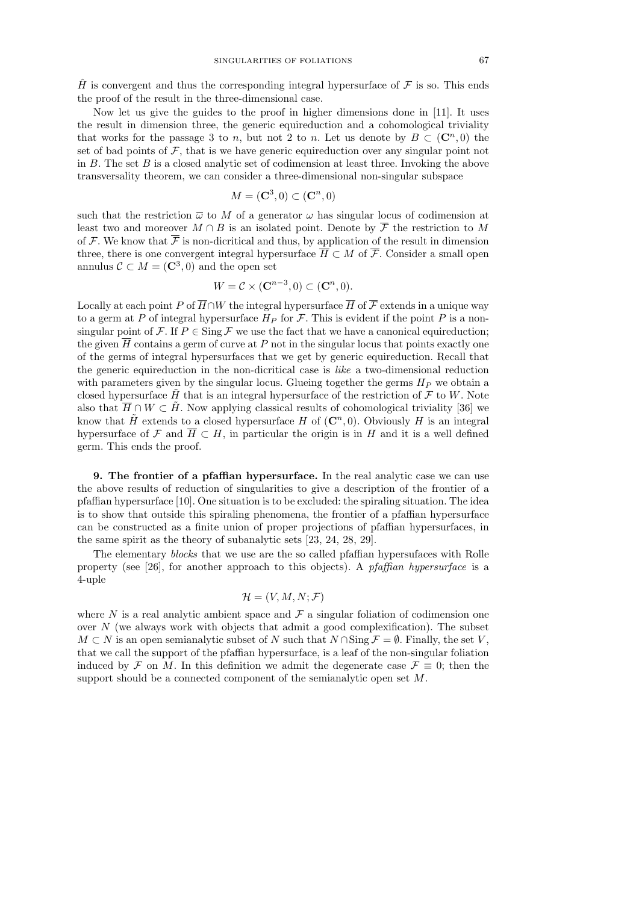$\hat{H}$  is convergent and thus the corresponding integral hypersurface of  $\mathcal F$  is so. This ends the proof of the result in the three-dimensional case.

Now let us give the guides to the proof in higher dimensions done in [11]. It uses the result in dimension three, the generic equireduction and a cohomological triviality that works for the passage 3 to n, but not 2 to n. Let us denote by  $B \subset (\mathbb{C}^n, 0)$  the set of bad points of  $\mathcal F$ , that is we have generic equireduction over any singular point not in  $B$ . The set  $B$  is a closed analytic set of codimension at least three. Invoking the above transversality theorem, we can consider a three-dimensional non-singular subspace

$$
M = (\mathbf{C}^3, 0) \subset (\mathbf{C}^n, 0)
$$

such that the restriction  $\overline{\omega}$  to M of a generator  $\omega$  has singular locus of codimension at least two and moreover  $M \cap B$  is an isolated point. Denote by  $\overline{\mathcal{F}}$  the restriction to M of F. We know that  $\bar{\mathcal{F}}$  is non-dicritical and thus, by application of the result in dimension three, there is one convergent integral hypersurface  $\overline{H} \subset M$  of  $\overline{\mathcal{F}}$ . Consider a small open annulus  $\mathcal{C} \subset M = (\mathbf{C}^3, 0)$  and the open set

$$
W = \mathcal{C} \times (\mathbf{C}^{n-3}, 0) \subset (\mathbf{C}^n, 0).
$$

Locally at each point P of  $\overline{H} \cap W$  the integral hypersurface  $\overline{H}$  of  $\overline{\mathcal{F}}$  extends in a unique way to a germ at P of integral hypersurface  $H_P$  for F. This is evident if the point P is a nonsingular point of F. If  $P \in \text{Sing } \mathcal{F}$  we use the fact that we have a canonical equireduction; the given  $\overline{H}$  contains a germ of curve at P not in the singular locus that points exactly one of the germs of integral hypersurfaces that we get by generic equireduction. Recall that the generic equireduction in the non-dicritical case is like a two-dimensional reduction with parameters given by the singular locus. Glueing together the germs  $H_P$  we obtain a closed hypersurface  $\tilde{H}$  that is an integral hypersurface of the restriction of  $\mathcal F$  to W. Note also that  $\overline{H} \cap W \subset \tilde{H}$ . Now applying classical results of cohomological triviality [36] we know that  $\tilde{H}$  extends to a closed hypersurface H of  $(\mathbb{C}^n, 0)$ . Obviously H is an integral hypersurface of F and  $\overline{H} \subset H$ , in particular the origin is in H and it is a well defined germ. This ends the proof.

9. The frontier of a pfaffian hypersurface. In the real analytic case we can use the above results of reduction of singularities to give a description of the frontier of a pfaffian hypersurface [10]. One situation is to be excluded: the spiraling situation. The idea is to show that outside this spiraling phenomena, the frontier of a pfaffian hypersurface can be constructed as a finite union of proper projections of pfaffian hypersurfaces, in the same spirit as the theory of subanalytic sets [23, 24, 28, 29].

The elementary *blocks* that we use are the so called pfaffian hypersufaces with Rolle property (see [26], for another approach to this objects). A pfaffian hypersurface is a 4-uple

$$
\mathcal{H} = (V, M, N; \mathcal{F})
$$

where N is a real analytic ambient space and  $\mathcal F$  a singular foliation of codimension one over  $N$  (we always work with objects that admit a good complexification). The subset  $M \subset N$  is an open semianalytic subset of N such that  $N \cap \text{Sing } \mathcal{F} = \emptyset$ . Finally, the set V, that we call the support of the pfaffian hypersurface, is a leaf of the non-singular foliation induced by F on M. In this definition we admit the degenerate case  $\mathcal{F} \equiv 0$ ; then the support should be a connected component of the semianalytic open set M.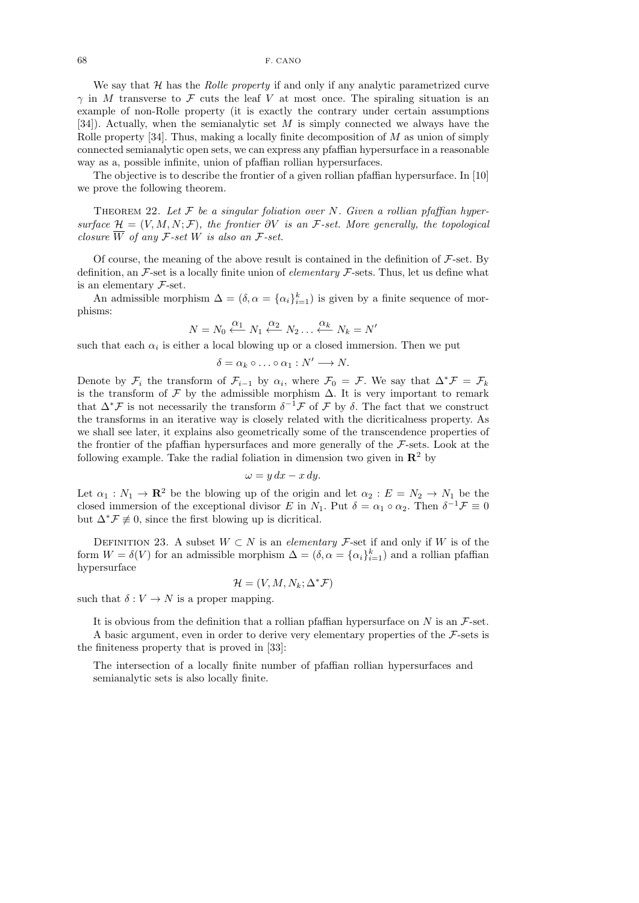We say that  $H$  has the *Rolle property* if and only if any analytic parametrized curve  $\gamma$  in M transverse to F cuts the leaf V at most once. The spiraling situation is an example of non-Rolle property (it is exactly the contrary under certain assumptions [34]). Actually, when the semianalytic set  $M$  is simply connected we always have the Rolle property [34]. Thus, making a locally finite decomposition of  $M$  as union of simply connected semianalytic open sets, we can express any pfaffian hypersurface in a reasonable way as a, possible infinite, union of pfaffian rollian hypersurfaces.

The objective is to describe the frontier of a given rollian pfaffian hypersurface. In [10] we prove the following theorem.

THEOREM 22. Let  $\mathcal F$  be a singular foliation over N. Given a rollian pfaffian hypersurface  $\mathcal{H} = (V, M, N; \mathcal{F})$ , the frontier  $\partial V$  is an  $\mathcal{F}\text{-set}$ . More generally, the topological closure  $\overline{W}$  of any F-set W is also an F-set.

Of course, the meaning of the above result is contained in the definition of  $\mathcal{F}\text{-set}$ . By definition, an  $\mathcal{F}\text{-set}$  is a locally finite union of *elementary*  $\mathcal{F}\text{-sets}$ . Thus, let us define what is an elementary F-set.

An admissible morphism  $\Delta = (\delta, \alpha = {\alpha_i}_{i=1}^k)$  is given by a finite sequence of morphisms:

$$
N = N_0 \stackrel{\alpha_1}{\longleftarrow} N_1 \stackrel{\alpha_2}{\longleftarrow} N_2 \dots \stackrel{\alpha_k}{\longleftarrow} N_k = N'
$$

such that each  $\alpha_i$  is either a local blowing up or a closed immersion. Then we put

$$
\delta = \alpha_k \circ \ldots \circ \alpha_1 : N' \longrightarrow N.
$$

Denote by  $\mathcal{F}_i$  the transform of  $\mathcal{F}_{i-1}$  by  $\alpha_i$ , where  $\mathcal{F}_0 = \mathcal{F}$ . We say that  $\Delta^* \mathcal{F} = \mathcal{F}_k$ is the transform of  $\mathcal F$  by the admissible morphism  $\Delta$ . It is very important to remark that  $\Delta^* \mathcal{F}$  is not necessarily the transform  $\delta^{-1} \mathcal{F}$  of  $\mathcal{F}$  by  $\delta$ . The fact that we construct the transforms in an iterative way is closely related with the dicriticalness property. As we shall see later, it explains also geometrically some of the transcendence properties of the frontier of the pfaffian hypersurfaces and more generally of the  $\mathcal{F}\text{-sets}$ . Look at the following example. Take the radial foliation in dimension two given in  $\mathbb{R}^2$  by

$$
\omega = y \, dx - x \, dy.
$$

Let  $\alpha_1 : N_1 \to \mathbf{R}^2$  be the blowing up of the origin and let  $\alpha_2 : E = N_2 \to N_1$  be the closed immersion of the exceptional divisor E in  $N_1$ . Put  $\delta = \alpha_1 \circ \alpha_2$ . Then  $\delta^{-1} \mathcal{F} \equiv 0$ but  $\Delta^* \mathcal{F} \not\equiv 0$ , since the first blowing up is dicritical.

DEFINITION 23. A subset  $W \subset N$  is an *elementary* F-set if and only if W is of the form  $W = \delta(V)$  for an admissible morphism  $\Delta = (\delta, \alpha = {\alpha_i}_{i=1}^k)$  and a rollian pfaffian hypersurface

$$
\mathcal{H} = (V, M, N_k; \Delta^* \mathcal{F})
$$

such that  $\delta: V \to N$  is a proper mapping.

It is obvious from the definition that a rollian pfaffian hypersurface on  $N$  is an  $\mathcal{F}\text{-set}$ . A basic argument, even in order to derive very elementary properties of the  $\mathcal{F}\text{-sets}$  is the finiteness property that is proved in [33]:

The intersection of a locally finite number of pfaffian rollian hypersurfaces and semianalytic sets is also locally finite.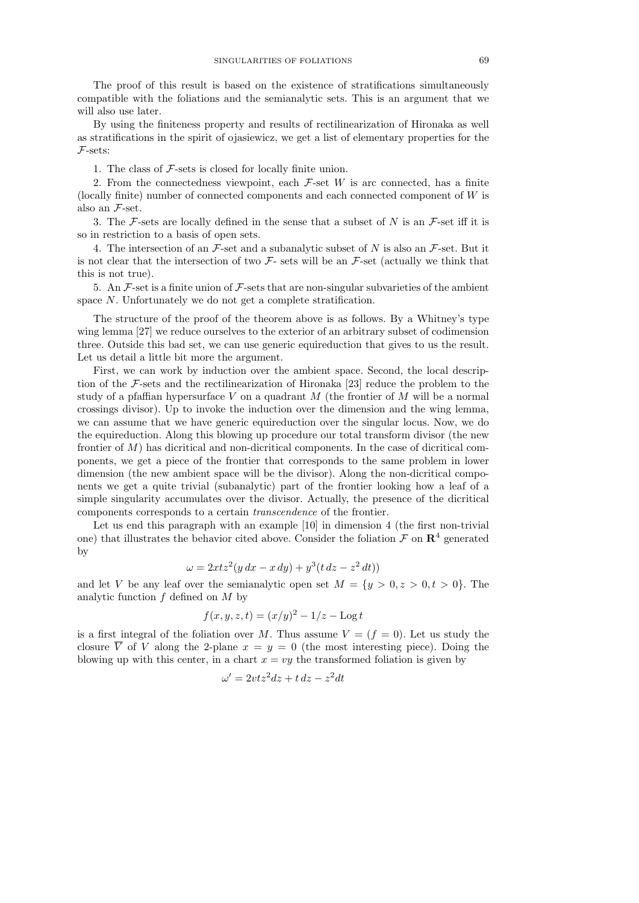The proof of this result is based on the existence of stratifications simultaneously compatible with the foliations and the semianalytic sets. This is an argument that we will also use later.

By using the finiteness property and results of rectilinearization of Hironaka as well as stratifications in the spirit of ojasiewicz, we get a list of elementary properties for the F-sets:

1. The class of F-sets is closed for locally finite union.

2. From the connectedness viewpoint, each  $\mathcal{F}$ -set W is arc connected, has a finite (locally finite) number of connected components and each connected component of  $W$  is also an F-set.

3. The F-sets are locally defined in the sense that a subset of N is an F-set iff it is so in restriction to a basis of open sets.

4. The intersection of an  $\mathcal{F}\text{-set}$  and a subanalytic subset of N is also an  $\mathcal{F}\text{-set}$ . But it is not clear that the intersection of two  $\mathcal{F}$ - sets will be an  $\mathcal{F}$ -set (actually we think that this is not true).

5. An  $\mathcal{F}$ -set is a finite union of  $\mathcal{F}$ -sets that are non-singular subvarieties of the ambient space N. Unfortunately we do not get a complete stratification.

The structure of the proof of the theorem above is as follows. By a Whitney's type wing lemma [27] we reduce ourselves to the exterior of an arbitrary subset of codimension three. Outside this bad set, we can use generic equireduction that gives to us the result. Let us detail a little bit more the argument.

First, we can work by induction over the ambient space. Second, the local description of the F-sets and the rectilinearization of Hironaka [23] reduce the problem to the study of a pfaffian hypersurface V on a quadrant  $M$  (the frontier of  $M$  will be a normal crossings divisor). Up to invoke the induction over the dimension and the wing lemma, we can assume that we have generic equireduction over the singular locus. Now, we do the equireduction. Along this blowing up procedure our total transform divisor (the new frontier of M) has dicritical and non-dicritical components. In the case of dicritical components, we get a piece of the frontier that corresponds to the same problem in lower dimension (the new ambient space will be the divisor). Along the non-dicritical components we get a quite trivial (subanalytic) part of the frontier looking how a leaf of a simple singularity accumulates over the divisor. Actually, the presence of the dicritical components corresponds to a certain transcendence of the frontier.

Let us end this paragraph with an example [10] in dimension 4 (the first non-trivial one) that illustrates the behavior cited above. Consider the foliation  $\mathcal F$  on  $\mathbb R^4$  generated by

$$
\omega = 2xtz^2(y\,dx - x\,dy) + y^3(t\,dz - z^2\,dt))
$$

and let V be any leaf over the semianalytic open set  $M = \{y > 0, z > 0, t > 0\}$ . The analytic function  $f$  defined on  $M$  by

$$
f(x, y, z, t) = (x/y)^2 - 1/z - \log t
$$

is a first integral of the foliation over M. Thus assume  $V = (f = 0)$ . Let us study the closure  $\overline{V}$  of V along the 2-plane  $x = y = 0$  (the most interesting piece). Doing the blowing up with this center, in a chart  $x = vy$  the transformed foliation is given by

$$
\omega' = 2vtz^2dz + t\,dz - z^2dt
$$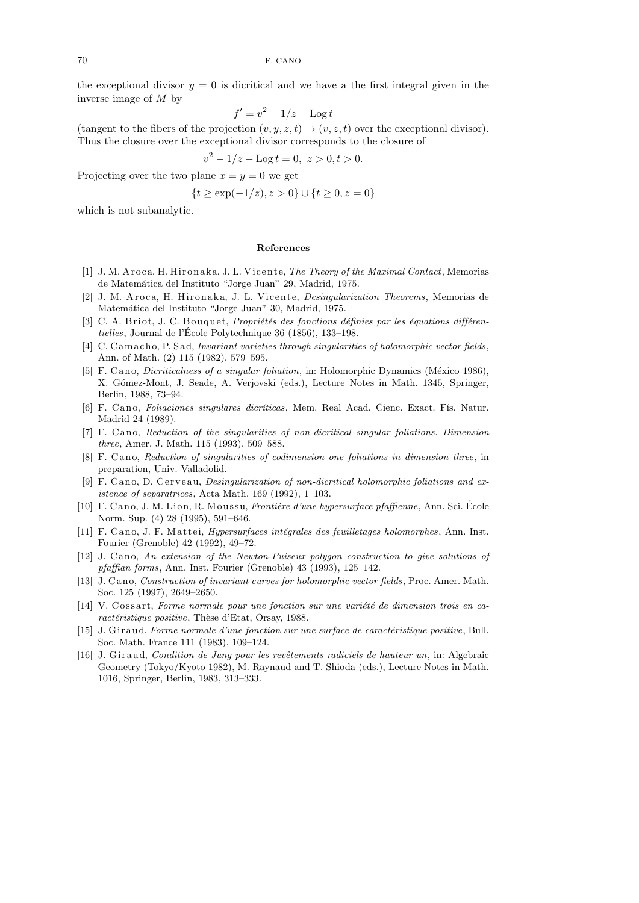the exceptional divisor  $y = 0$  is dicritical and we have a the first integral given in the inverse image of M by

$$
f' = v^2 - 1/z - \log t
$$

(tangent to the fibers of the projection  $(v, y, z, t) \rightarrow (v, z, t)$  over the exceptional divisor). Thus the closure over the exceptional divisor corresponds to the closure of

$$
v^2 - 1/z - \text{Log } t = 0, \ z > 0, t > 0.
$$

Projecting over the two plane  $x = y = 0$  we get

$$
\{t \ge \exp(-1/z), z > 0\} \cup \{t \ge 0, z = 0\}
$$

which is not subanalytic.

## **References**

- [1] J. M. Aroca, H. Hironaka, J. L. Vicente, *The Theory of the Maximal Contact*, Memorias de Matemática del Instituto "Jorge Juan" 29, Madrid, 1975.
- [2] J. M. Aroca, H. Hironaka, J. L. Vicente, *Desingularization Theorems*, Memorias de Matemática del Instituto "Jorge Juan" 30, Madrid, 1975.
- [3] C. A. Briot, J. C. Bouquet, *Propriétés des fonctions définies par les équations différentielles*, Journal de l'Ecole Polytechnique 36 (1856), 133–198. ´
- [4] C. C am ach o, P. S ad, *Invariant varieties through singularities of holomorphic vector fields* , Ann. of Math. (2) 115 (1982), 579–595.
- [5] F. C ano, *Dicriticalness of a singular foliation*, in: Holomorphic Dynamics (México 1986), X. G´omez-Mont, J. Seade, A. Verjovski (eds.), Lecture Notes in Math. 1345, Springer, Berlin, 1988, 73–94.
- [6] F. C an o, *Foliaciones singulares dicr´ıticas*, Mem. Real Acad. Cienc. Exact. F´ıs. Natur. Madrid 24 (1989).
- [7] F. Cano, *Reduction of the singularities of non-dicritical singular foliations. Dimension three*, Amer. J. Math. 115 (1993), 509–588.
- [8] F. Cano, *Reduction of singularities of codimension one foliations in dimension three*, in preparation, Univ. Valladolid.
- [9] F. Cano, D. Cerveau, *Desingularization of non-dicritical holomorphic foliations and existence of separatrices*, Acta Math. 169 (1992), 1–103.
- [10] F. C an o, J. M. Li on, R. M ou s su, *Fronti`ere d'une hypersurface pfaffienne*, Ann. Sci. Ecole ´ Norm. Sup. (4) 28 (1995), 591–646.
- [11] F. Cano, J. F. Mattei, *Hypersurfaces intégrales des feuilletages holomorphes*, Ann. Inst. Fourier (Grenoble) 42 (1992), 49–72.
- [12] J. Cano, An extension of the Newton-Puiseux polygon construction to give solutions of *pfaffian forms*, Ann. Inst. Fourier (Grenoble) 43 (1993), 125–142.
- [13] J. C an o, *Construction of invariant curves for holomorphic vector fields* , Proc. Amer. Math. Soc. 125 (1997), 2649–2650.
- [14] V. Cossart, *Forme normale pour une fonction sur une variété de dimension trois en ca*ractéristique positive, Thèse d'Etat, Orsay, 1988.
- [15] J. Gir aud, *Forme normale d'une fonction sur une surface de caractéristique positive*, Bull. Soc. Math. France 111 (1983), 109–124.
- [16] J. Giraud, *Condition de Jung pour les revêtements radiciels de hauteur un*, in: Algebraic Geometry (Tokyo/Kyoto 1982), M. Raynaud and T. Shioda (eds.), Lecture Notes in Math. 1016, Springer, Berlin, 1983, 313–333.